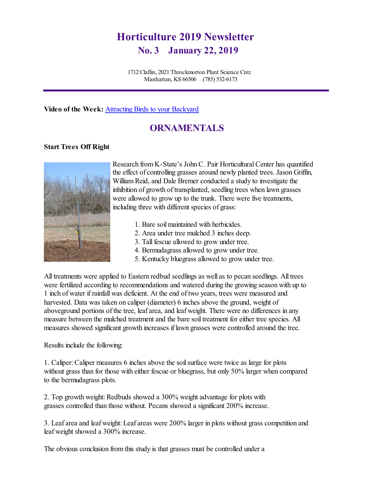# **Horticulture 2019 Newsletter No. 3 January 22, 2019**

1712 Claflin, 2021 Throckmorton Plant Science Cntr. Manhattan, KS 66506 (785) 532-6173

**Video of the Week:** Attracting Birds [to your Backyard](http://kansashealthyyards.org/component/allvideoshare/video/attracting-birds-to-your-backyard?Itemid=101)

# **ORNAMENTALS**

#### **Start Trees Off Right**



Research from K-State's John C. Pair Horticultural Center has quantified the effect of controlling grasses around newly planted trees. Jason Griffin, William Reid, and Dale Bremer conducted a study to investigate the inhibition of growth of transplanted, seedling trees when lawn grasses were allowed to grow up to the trunk. There were five treatments, including three with different species of grass:

- 1. Bare soil maintained with herbicides.
- 2. Area under tree mulched 3 inches deep.
- 3. Tall fescue allowed to grow under tree.
- 4. Bermudagrass allowed to grow under tree.
- 5. Kentucky bluegrass allowed to grow under tree.

All treatments were applied to Eastern redbud seedlings as well as to pecan seedlings. All trees were fertilized according to recommendations and watered during the growing season with up to 1 inch of water if rainfall was deficient. At the end of two years, trees were measured and harvested. Data was taken on caliper (diameter) 6 inches above the ground, weight of aboveground portions of the tree, leaf area, and leaf weight. There were no differences in any measure between the mulched treatment and the bare soil treatment for either tree species. All measures showed significant growth increases if lawn grasses were controlled around the tree.

Results include the following:

1. Caliper: Caliper measures 6 inches above the soil surface were twice as large for plots without grass than for those with either fescue or bluegrass, but only 50% larger when compared to the bermudagrass plots.

2. Top growth weight: Redbuds showed a 300% weight advantage for plots with grasses controlled than those without. Pecans showed a significant 200% increase.

3. Leaf area and leaf weight:Leaf areas were 200% larger in plots without grass competition and leaf weight showed a 300% increase.

The obvious conclusion from this study is that grasses must be controlled under a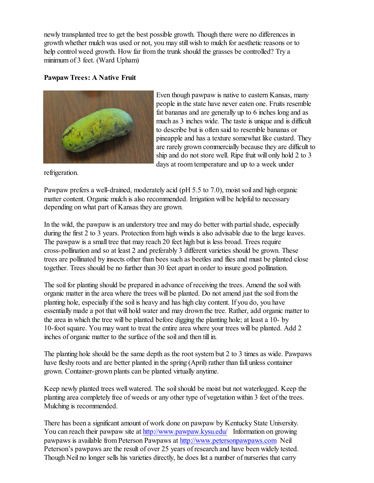newly transplanted tree to get the best possible growth. Though there were no differences in growth whether mulch was used or not, you may still wish to mulch for aesthetic reasons or to help control weed growth. How far from the trunk should the grasses be controlled? Try a minimumof 3 feet. (Ward Upham)

### **Pawpaw Trees: A Native Fruit**



Even though pawpaw is native to eastern Kansas, many people in the state have never eaten one. Fruits resemble fat bananas and are generally up to 6 inches long and as much as 3 inches wide. The taste is unique and is difficult to describe but is often said to resemble bananas or pineapple and has a texture somewhat like custard. They are rarely grown commercially because they are difficult to ship and do not store well. Ripe fruit will only hold 2 to 3 days at room temperature and up to a week under

refrigeration.

Pawpaw prefers a well-drained, moderately acid (pH 5.5 to 7.0), moist soil and high organic matter content. Organic mulch is also recommended. Irrigation will be helpful to necessary depending on what part of Kansas they are grown.

In the wild, the pawpaw is an understory tree and may do better with partial shade, especially during the first 2 to 3 years. Protection from high winds is also advisable due to the large leaves. The pawpaw is a small tree that may reach 20 feet high but is less broad. Trees require cross-pollination and so at least 2 and preferably 3 different varieties should be grown. These trees are pollinated by insects other than bees such as beetles and flies and must be planted close together. Trees should be no further than 30 feet apart in order to insure good pollination.

The soil for planting should be prepared in advance of receiving the trees. Amend the soil with organic matter in the area where the trees will be planted. Do not amend just the soilfrom the planting hole, especially ifthe soil is heavy and has high clay content. If you do, you have essentially made a pot that will hold water and may drown the tree. Rather, add organic matter to the area in which the tree will be planted before digging the planting hole; at least a 10- by 10-foot square. You may want to treat the entire area where your trees will be planted. Add 2 inches of organic matter to the surface of the soil and then till in.

The planting hole should be the same depth as the root systembut 2 to 3 times as wide. Pawpaws have fleshy roots and are better planted in the spring (April) rather than fall unless container grown. Container-grown plants can be planted virtually anytime.

Keep newly planted trees well watered. The soilshould be moist but not waterlogged. Keep the planting area completely free of weeds or any other type of vegetation within 3 feet of the trees. Mulching is recommended.

There has been a significant amount of work done on pawpaw by Kentucky State University. You can reach their pawpaw site at <http://www.pawpaw.kysu.edu/> Information on growing pawpaws is available fromPeterson Pawpaws at <http://www.petersonpawpaws.com> Neil Peterson's pawpaws are the result of over 25 years of research and have been widely tested. Though Neil no longer sells his varieties directly, he does list a number of nurseries that carry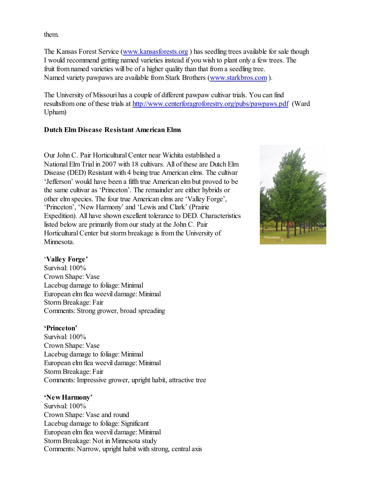them.

The Kansas Forest Service [\(www.kansasforests.org](http://www.kansasforests.org) ) has seedling trees available for sale though I would recommend getting named varieties instead if you wish to plant only a few trees. The fruit from named varieties will be of a higher quality than that from a seedling tree. Named variety pawpaws are available from Stark Brothers [\(www.starkbros.com](http://www.starkbros.com) ).

The University of Missouri has a couple of different pawpaw cultivar trials. You can find resultsfrom one of these trials at <http://www.centerforagroforestry.org/pubs/pawpaws.pdf> (Ward Upham)

### **Dutch Elm Disease Resistant American Elms**

Our John C. Pair Horticultural Center near Wichita established a National Elm Trial in 2007 with 18 cultivars. All of these are Dutch Elm Disease (DED) Resistant with 4 being true American elms. The cultivar 'Jefferson' would have been a fifth true American elm but proved to be the same cultivar as 'Princeton'. The remainder are either hybrids or other elm species. The four true American elms are 'Valley Forge', 'Princeton', 'New Harmony' and 'Lewis and Clark' (Prairie Expedition). All have shown excellent tolerance to DED. Characteristics listed below are primarily from our study at the John C. Pair Horticultural Center but storm breakage is from the University of Minnesota.



#### '**Valley Forge'**

Survival: 100% Crown Shape: Vase Lacebug damage to foliage: Minimal European elm flea weevil damage: Minimal Storm Breakage: Fair Comments: Strong grower, broad spreading

#### **'Princeton'**

Survival: 100% Crown Shape: Vase Lacebug damage to foliage:Minimal European elm flea weevil damage: Minimal Storm Breakage: Fair Comments: Impressive grower, upright habit, attractive tree

#### **'New Harmony'**

Survival: 100% Crown Shape: Vase and round Lacebug damage to foliage: Significant European elm flea weevil damage: Minimal Storm Breakage: Not in Minnesota study Comments: Narrow, upright habit with strong, central axis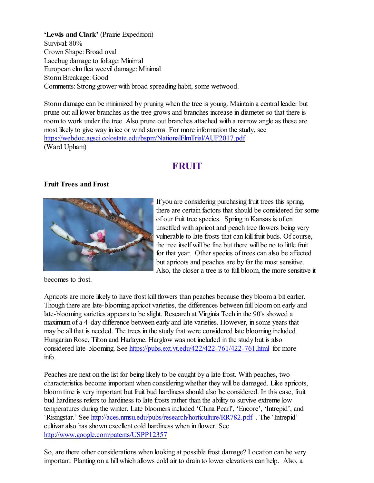**'Lewis and Clark'** (Prairie Expedition) Survival: 80% Crown Shape: Broad oval Lacebug damage to foliage: Minimal European elm flea weevil damage: Minimal Storm Breakage: Good Comments: Strong grower with broad spreading habit, some wetwood.

Storm damage can be minimized by pruning when the tree is young. Maintain a central leader but prune out all lower branches as the tree grows and branches increase in diameter so that there is room to work under the tree. Also prune out branches attached with a narrow angle as these are most likely to give way in ice or wind storms. For more information the study, see <https://webdoc.agsci.colostate.edu/bspm/NationalElmTrial/AUF2017.pdf> (Ward Upham)

# **FRUIT**

# **Fruit Trees and Frost**



If you are considering purchasing fruit trees this spring, there are certain factors that should be considered for some of our fruit tree species. Spring in Kansas is often unsettled with apricot and peach tree flowers being very vulnerable to late frosts that can kill fruit buds. Of course, the tree itself will be fine but there will be no to little fruit for that year. Other species of trees can also be affected but apricots and peaches are by far the most sensitive. Also, the closer a tree is to full bloom, the more sensitive it

becomes to frost.

Apricots are more likely to have frost kill flowers than peaches because they bloom a bit earlier. Though there are late-blooming apricot varieties, the differences between full bloom on early and late-blooming varieties appears to be slight. Research at Virginia Tech in the 90's showed a maximum of a 4-day difference between early and late varieties. However, in some years that may be all that is needed. The trees in the study that were considered late blooming included Hungarian Rose, Tilton and Harlayne. Harglow was not included in the study but is also considered late-blooming. See <https://pubs.ext.vt.edu/422/422-761/422-761.html> for more info.

Peaches are next on the list for being likely to be caught by a late frost. With peaches, two characteristics become important when considering whether they will be damaged. Like apricots, bloom time is very important but fruit bud hardiness should also be considered. In this case, fruit bud hardiness refers to hardiness to late frosts rather than the ability to survive extreme low temperatures during the winter. Late bloomers included 'China Pearl', 'Encore', 'Intrepid', and 'Risingstar.' See <http://aces.nmsu.edu/pubs/research/horticulture/RR782.pdf> . The 'Intrepid' cultivar also has shown excellent cold hardiness when in flower. See <http://www.google.com/patents/USPP12357>

So, are there other considerations when looking at possible frost damage? Location can be very important. Planting on a hill which allows cold air to drain to lower elevations can help. Also, a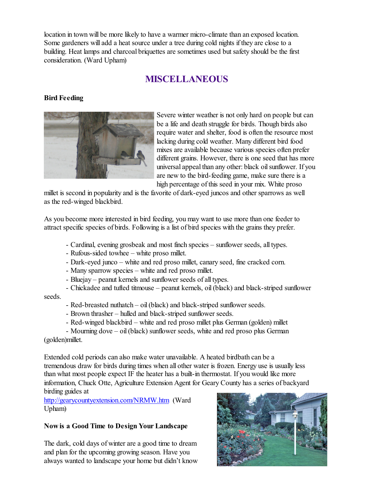location in town will be more likely to have a warmer micro-climate than an exposed location. Some gardeners will add a heat source under a tree during cold nights if they are close to a building. Heat lamps and charcoal briquettes are sometimes used but safety should be the first consideration. (Ward Upham)

# **MISCELLANEOUS**

## **Bird Feeding**



Severe winter weather is not only hard on people but can be a life and death struggle for birds. Though birds also require water and shelter, food is often the resource most lacking during cold weather. Many different bird food mixes are available because various species often prefer different grains. However, there is one seed that has more universal appeal than any other: black oil sunflower. If you are new to the bird-feeding game, make sure there is a high percentage of this seed in your mix. White proso

millet is second in popularity and is the favorite of dark-eyed juncos and other sparrows as well as the red-winged blackbird.

As you become more interested in bird feeding, you may want to use more than one feeder to attract specific species of birds. Following is a list of bird species with the grains they prefer.

- Cardinal, evening grosbeak and most finch species sunflower seeds, all types.
- Rufous-sided towhee white proso millet.
- Dark-eyed junco white and red proso millet, canary seed, fine cracked corn.
- Many sparrow species white and red proso millet.
- Bluejay peanut kernels and sunflower seeds of all types.

- Chickadee and tufted titmouse – peanut kernels, oil (black) and black-striped sunflower seeds.

- Red-breasted nuthatch oil (black) and black-striped sunflower seeds.
- Brown thrasher hulled and black-striped sunflower seeds.
- Red-winged blackbird white and red proso millet plus German (golden) millet

- Mourning dove – oil (black) sunflower seeds, white and red proso plus German (golden)millet.

Extended cold periods can also make water unavailable. A heated birdbath can be a tremendous draw for birds during times when all other water is frozen. Energy use is usually less than what most people expect IF the heater has a built-in thermostat. If you would like more information, Chuck Otte, Agriculture Extension Agent for Geary County has a series of backyard birding guides at

<http://gearycountyextension.com/NRMW.htm> (Ward Upham)

### **Now is a Good Time to Design Your Landscape**

The dark, cold days of winter are a good time to dream and plan for the upcoming growing season. Have you always wanted to landscape your home but didn't know